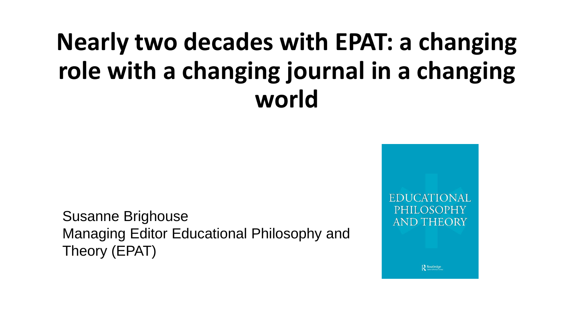#### **Nearly two decades with EPAT: a changing role with a changing journal in a changing world**

Susanne Brighouse Managing Editor Educational Philosophy and Theory (EPAT)

PHILOSOPHY **AND THEORY** 

Routledge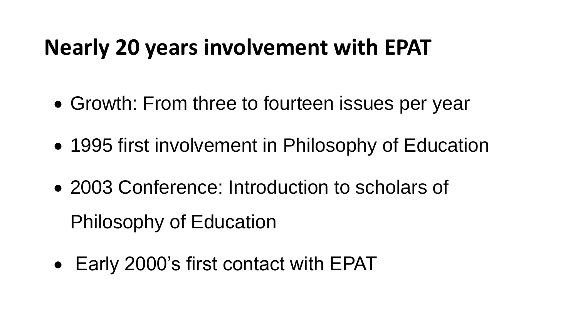#### **Nearly 20 years involvement with EPAT**

- Growth: From three to fourteen issues per year
- 1995 first involvement in Philosophy of Education
- 2003 Conference: Introduction to scholars of Philosophy of Education
- Early 2000's first contact with EPAT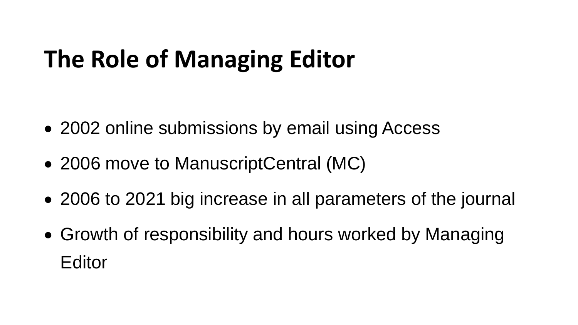## **The Role of Managing Editor**

- 2002 online submissions by email using Access
- 2006 move to ManuscriptCentral (MC)
- 2006 to 2021 big increase in all parameters of the journal
- Growth of responsibility and hours worked by Managing Editor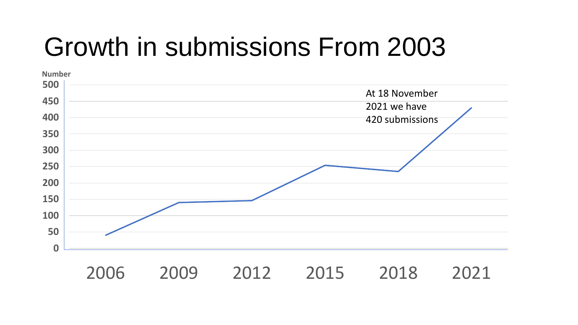## Growth in submissions From 2003

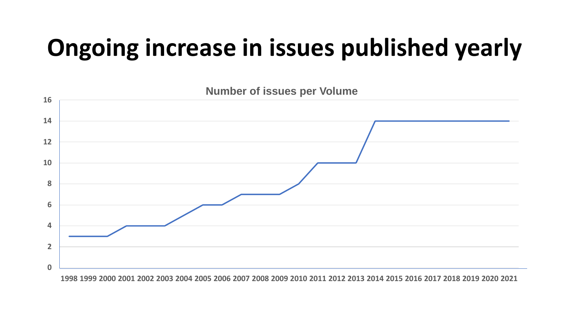### **Ongoing increase in issues published yearly**



1998 1999 2000 2001 2002 2003 2004 2005 2006 2007 2008 2009 2010 2011 2012 2013 2014 2015 2016 2017 2018 2019 2020 2021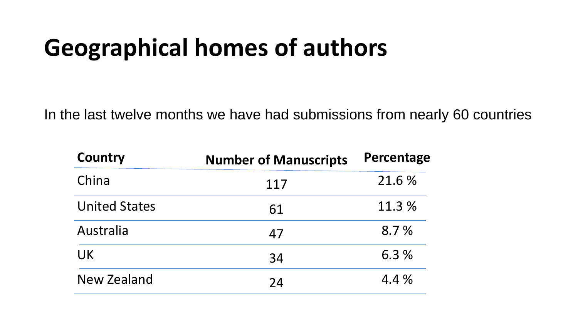### **Geographical homes of authors**

In the last twelve months we have had submissions from nearly 60 countries

| <b>Country</b>       | <b>Number of Manuscripts</b> | Percentage |
|----------------------|------------------------------|------------|
| China                | 117                          | 21.6 %     |
| <b>United States</b> | 61                           | 11.3 %     |
| Australia            | 47                           | 8.7%       |
| <b>UK</b>            | 34                           | 6.3%       |
| New Zealand          | 24                           | 4.4 %      |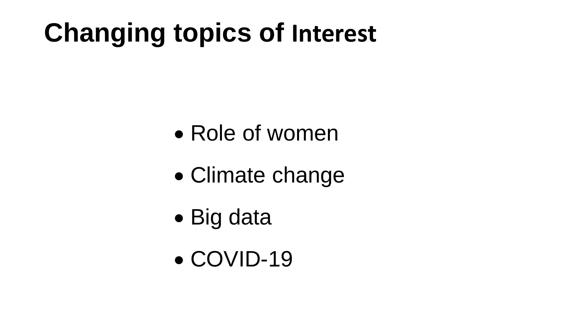# **Changing topics of Interest**

- Role of women
- Climate change
- Big data
- COVID-19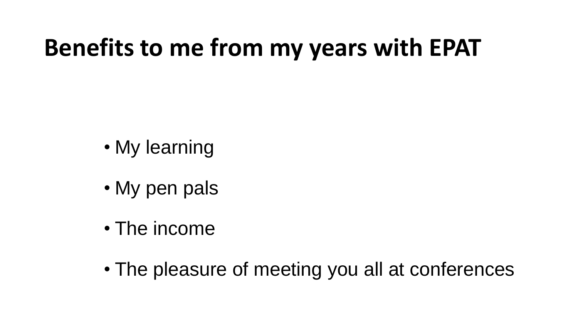### **Benefits to me from my years with EPAT**

- My learning
- My pen pals
- The income
- The pleasure of meeting you all at conferences